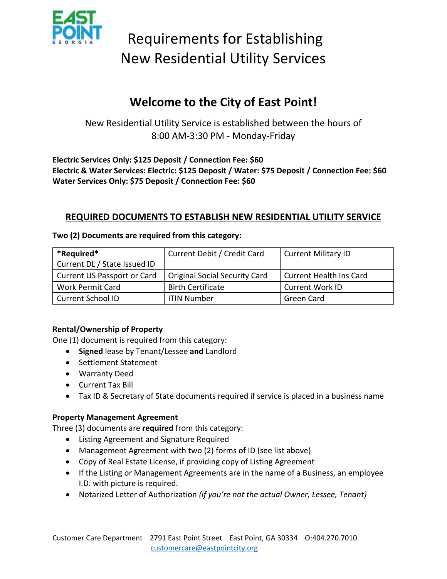

# Requirements for Establishing New Residential Utility Services

### **Welcome to the City of East Point!**

New Residential Utility Service is established between the hours of 8:00 AM-3:30 PM - Monday-Friday

**Electric Services Only: \$125 Deposit / Connection Fee: \$60 Electric & Water Services: Electric: \$125 Deposit / Water: \$75 Deposit / Connection Fee: \$60 Water Services Only: \$75 Deposit / Connection Fee: \$60**

#### **REQUIRED DOCUMENTS TO ESTABLISH NEW RESIDENTIAL UTILITY SERVICE**

| *Required*<br>Current DL / State Issued ID | Current Debit / Credit Card          | Current Military ID            |
|--------------------------------------------|--------------------------------------|--------------------------------|
|                                            |                                      |                                |
| Current US Passport or Card                | <b>Original Social Security Card</b> | <b>Current Health Ins Card</b> |
| <b>Work Permit Card</b>                    | <b>Birth Certificate</b>             | <b>Current Work ID</b>         |
| Current School ID                          | ITIN Number                          | Green Card                     |

**Two (2) Documents are required from this category:**

#### **Rental/Ownership of Property**

One (1) document is required from this category:

- **Signed** lease by Tenant/Lessee **and** Landlord
- Settlement Statement
- Warranty Deed
- Current Tax Bill
- Tax ID & Secretary of State documents required if service is placed in a business name

#### **Property Management Agreement**

Three (3) documents are **required** from this category:

- Listing Agreement and Signature Required
- Management Agreement with two (2) forms of ID (see list above)
- Copy of Real Estate License, if providing copy of Listing Agreement
- If the Listing or Management Agreements are in the name of a Business, an employee I.D. with picture is required.
- Notarized Letter of Authorization *(if you're not the actual Owner, Lessee, Tenant)*